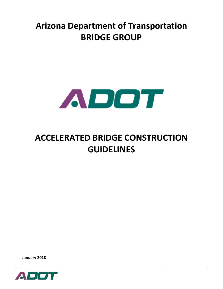## **Arizona Department of Transportation BRIDGE GROUP**



# **ACCELERATED BRIDGE CONSTRUCTION GUIDELINES**

January 2018

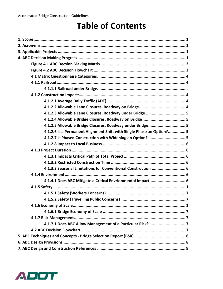## **Table of Contents**

| 4.1.2.3 Allowable Lane Closures, Roadway under Bridge  5              |
|-----------------------------------------------------------------------|
|                                                                       |
| 4.1.2.5 Allowable Bridge Closures, Roadway under Bridge 5             |
| 4.1.2.6 Is a Permanent Alignment Shift with Single Phase an Option? 5 |
| 4.1.2.7 Is Phased Construction with Widening an Option?  5            |
|                                                                       |
|                                                                       |
|                                                                       |
|                                                                       |
| 4.1.3.3 Seasonal Limitations for Conventional Construction  6         |
|                                                                       |
| 4.1.4.1 Does ABC Mitigate a Critical Envrionmental Impact  6          |
|                                                                       |
|                                                                       |
|                                                                       |
|                                                                       |
|                                                                       |
|                                                                       |
|                                                                       |
|                                                                       |
|                                                                       |
|                                                                       |
|                                                                       |

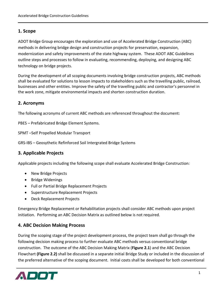## 1. Scope

ADOT Bridge Group encourages the exploration and use of Accelerated Bridge Construction (ABC) methods in delivering bridge design and construction projects for preservation, expansion, modernization and safety improvements of the state highway system. These ADOT ABC Guidelines outline steps and processes to follow in evaluating, recommending, deploying, and designing ABC technology on bridge projects.

During the development of all scoping documents involving bridge construction projects, ABC methods shall be evaluated for solutions to lesson impacts to stakeholders such as the travelling public, railroad, businesses and other entities. Improve the safety of the travelling public and contractor's personnel in the work zone, mitigate environmental impacts and shorten construction duration.

## 2. Acronyms

The following acronyms of current ABC methods are referenced throughout the document:

PBES - Prefabricated Bridge Element Systems.

SPMT-Self Propelled Modular Transport

GRS-IBS - Geosythetic Refinforced Soil Intergrated Bridge Systems

## 3. Applicable Projects

Applicable projects including the following scope shall evaluate Accelerated Bridge Construction:

- New Bridge Projects
- Bridge Widenings
- Full or Partial Bridge Replacement Projects
- Superstructure Replacement Projects
- Deck Replacement Projects

Emergency Bridge Replacement or Rehabilitation projects shall consider ABC methods upon project initiation. Performing an ABC Decision Matrix as outlined below is not required.

## **4. ABC Decision Making Process**

During the scoping stage of the project development process, the project team shall go through the following decision making process to further evaluate ABC methods versus conventional bridge construction. The outcome of the ABC Decision Making Matrix (Figure 2.1) and the ABC Decision Flowchart (Figure 2.2) shall be discussed in a separate initial Bridge Study or included in the discussion of the preferred alternative of the scoping document. Initial costs shall be developed for both conventional

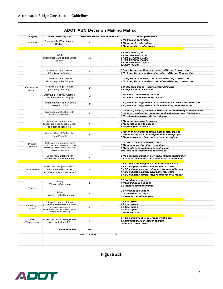|                           |                                                                                                                                          | <b>ADOT ABC Decision Making Matrix</b>  |   |                                                                                                                                         |  |  |  |
|---------------------------|------------------------------------------------------------------------------------------------------------------------------------------|-----------------------------------------|---|-----------------------------------------------------------------------------------------------------------------------------------------|--|--|--|
| Category                  | <b>Decision-Making Item</b>                                                                                                              | <b>Possible Points Points Allocated</b> |   | <b>Scoring Guidance</b>                                                                                                                 |  |  |  |
|                           |                                                                                                                                          |                                         |   | 0 No track under bridge                                                                                                                 |  |  |  |
| Railroad                  | Railroad/ Rail Transit under<br>Bridge?                                                                                                  | 4                                       |   | 2 Minor track under bridge                                                                                                              |  |  |  |
|                           |                                                                                                                                          |                                         |   | 4 Major track(s) under bridge                                                                                                           |  |  |  |
|                           |                                                                                                                                          |                                         |   |                                                                                                                                         |  |  |  |
|                           | <b>ADT</b><br>(Combined ADT on and under<br>bridge)                                                                                      | 10                                      |   | 1 ADT under 10,000                                                                                                                      |  |  |  |
|                           |                                                                                                                                          |                                         |   | 3 ADT 10,000 to 25,000<br>5 ADT 25,000 to 50,000                                                                                        |  |  |  |
|                           |                                                                                                                                          |                                         |   | 6 ADT 50,000 to 75,000                                                                                                                  |  |  |  |
|                           |                                                                                                                                          |                                         |   | 7 ADT 75,000 to 100,000                                                                                                                 |  |  |  |
|                           |                                                                                                                                          |                                         |   | 10 ADT 100,000+                                                                                                                         |  |  |  |
|                           | Allowable Lane Closure                                                                                                                   |                                         |   | 0 Long Term Lane Reduction Allowed During Construction                                                                                  |  |  |  |
|                           | (Roadway on Bridge)                                                                                                                      | 4                                       |   | 4 No Long Term Lane Reduction Allowed During Construction                                                                               |  |  |  |
|                           | Allowable Lane Closure                                                                                                                   |                                         |   | 0 Long Term Lane Reduction Allowed During Construction<br>4 No Long Term Lane Reduction Allowed During Construction                     |  |  |  |
|                           | (Roadway under Bridge)                                                                                                                   | 4                                       |   |                                                                                                                                         |  |  |  |
|                           |                                                                                                                                          |                                         |   |                                                                                                                                         |  |  |  |
| Construction              | Allowable Bridge Closure                                                                                                                 | 6                                       |   | 0 Bridge Can closed - Viable Detour Available                                                                                           |  |  |  |
| <b>Impacts</b>            | (Roadway on Bridge)                                                                                                                      |                                         |   | 6 Bridge Cannot be Closed                                                                                                               |  |  |  |
|                           | Allowable Roadway Closure                                                                                                                |                                         |   | 0 Roadway under can be closed                                                                                                           |  |  |  |
|                           | (Roadway under bridge)                                                                                                                   | 4                                       |   | 4 Roadway under cannot be closed                                                                                                        |  |  |  |
|                           |                                                                                                                                          |                                         |   |                                                                                                                                         |  |  |  |
|                           | Permanent Align Shift w/ single<br>phase an option                                                                                       | 3                                       |   | 0 A permanent alignment shift is achievable to facilitate construction<br>3 A permanent alignment shift is achievable, but undesirable. |  |  |  |
|                           |                                                                                                                                          |                                         |   |                                                                                                                                         |  |  |  |
|                           | Is phased construction with                                                                                                              |                                         |   | 0 Widening will fit updated standards or future roadway improvements                                                                    |  |  |  |
|                           | widening an option?                                                                                                                      | 8                                       |   | 6 Widening achievable, but undesireable due to unused investment<br>8 No alternatives available for widening                            |  |  |  |
|                           |                                                                                                                                          |                                         |   |                                                                                                                                         |  |  |  |
|                           | Impact to Local Access                                                                                                                   |                                         |   | 0 Minor or no impact to access                                                                                                          |  |  |  |
|                           | (Local business access, Local                                                                                                            | 6                                       |   | 3 Moderate impact to access                                                                                                             |  |  |  |
|                           | resident access etc.)                                                                                                                    |                                         |   | 6 Major impact to access                                                                                                                |  |  |  |
|                           | Impacts Critical Path of the                                                                                                             |                                         |   | 0 Minor or no impact to critical path of total project                                                                                  |  |  |  |
|                           | <b>Total Project?</b>                                                                                                                    | 8                                       |   | 4 Moderate impact to critical path of the total project                                                                                 |  |  |  |
|                           |                                                                                                                                          |                                         |   | 8 Major impact to critical path of the total project                                                                                    |  |  |  |
| Project<br>Duration       | <b>Restricted Construction Time</b><br>(Environmental schedules, Economic<br>Impact-e.g. local business access,<br>special events, etc.) | 10                                      |   | 0 No construction time restrictions                                                                                                     |  |  |  |
|                           |                                                                                                                                          |                                         |   | 3 Minor construction time restrictions                                                                                                  |  |  |  |
|                           |                                                                                                                                          |                                         |   | 6 Moderate construction time restrictions                                                                                               |  |  |  |
|                           |                                                                                                                                          |                                         |   | 10 Major construction time restrictions                                                                                                 |  |  |  |
|                           | Seasonal Limitations for                                                                                                                 |                                         |   | 0 No seasonal limitations for conventional construction                                                                                 |  |  |  |
|                           | conventional construction?                                                                                                               | 4                                       |   | 4 Seasonal limitations for conventional construction                                                                                    |  |  |  |
|                           |                                                                                                                                          |                                         |   | 0 ABC does not mitigate an environmental issue                                                                                          |  |  |  |
|                           | Does ABC mitigate a critical                                                                                                             | 5                                       |   | 2 ABC mitigates a minor environmental issue                                                                                             |  |  |  |
| Environment               | environmental impact or<br>sensitive environmental issue?                                                                                |                                         |   | 3 ABC mitigates several minor environmental issues                                                                                      |  |  |  |
|                           |                                                                                                                                          |                                         |   | 4 ABC mitigates a major environmental issue                                                                                             |  |  |  |
|                           |                                                                                                                                          |                                         |   | 5 ABC mitigates several major environmental issues                                                                                      |  |  |  |
|                           |                                                                                                                                          |                                         |   | 0 Short duration impact                                                                                                                 |  |  |  |
|                           | Safety<br>(Workers Concerns)                                                                                                             | 8                                       |   | 4 Normal duration impact                                                                                                                |  |  |  |
|                           |                                                                                                                                          |                                         |   | 8 Extended duration impact                                                                                                              |  |  |  |
| Safety                    |                                                                                                                                          |                                         |   | 0 Short duration impact                                                                                                                 |  |  |  |
|                           | Safety<br>(Traveling Public Concerns)                                                                                                    | 8                                       |   | 4 Normal duration impact                                                                                                                |  |  |  |
|                           |                                                                                                                                          |                                         |   | 8 Extended duration impact                                                                                                              |  |  |  |
|                           |                                                                                                                                          |                                         |   | 01 total span                                                                                                                           |  |  |  |
|                           | <b>Bridge Economy of Scale</b><br>(repetition of components in a bridge                                                                  |                                         |   | 12 total spans                                                                                                                          |  |  |  |
| Economy of<br>Scale       | or bridges in a project)                                                                                                                 | 4                                       |   | 2 3 total spans                                                                                                                         |  |  |  |
|                           | (Total spans=sum of all spans on all<br>bridges on the project)                                                                          |                                         |   | 34 total spans<br>45+ total spans                                                                                                       |  |  |  |
|                           |                                                                                                                                          |                                         |   |                                                                                                                                         |  |  |  |
|                           | Does ABC allow management<br>of a particular risk?                                                                                       |                                         |   | 0-4 Use judgement to determine if risks can                                                                                             |  |  |  |
| <b>Risk</b><br>Management |                                                                                                                                          | 4                                       |   | be managed through ABC that arent                                                                                                       |  |  |  |
|                           |                                                                                                                                          |                                         |   | covered in other topics                                                                                                                 |  |  |  |
|                           | <b>Total Possible</b>                                                                                                                    | 100                                     |   |                                                                                                                                         |  |  |  |
|                           |                                                                                                                                          |                                         |   |                                                                                                                                         |  |  |  |
|                           |                                                                                                                                          | Sum of Points:                          | 0 |                                                                                                                                         |  |  |  |
|                           |                                                                                                                                          |                                         |   |                                                                                                                                         |  |  |  |
|                           |                                                                                                                                          |                                         |   |                                                                                                                                         |  |  |  |
|                           |                                                                                                                                          |                                         |   |                                                                                                                                         |  |  |  |
|                           |                                                                                                                                          |                                         |   |                                                                                                                                         |  |  |  |

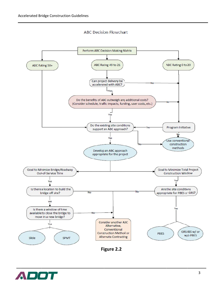#### **ABC Decision Flowchart**





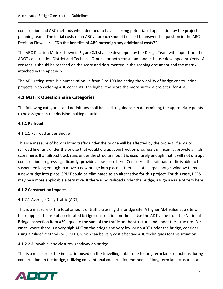construction and ABC methods when deemed to have a strong potential of application by the project planning team. The initial costs of an ABC approach should be used to answer the question in the ABC Decision Flowchart. "Do the benefits of ABC outweigh any additional costs?"

The ABC Decision Matrix shown in Figure 2.1 shall be developed by the Design Team with input from the ADOT construction District and Technical Groups for both consultant and in-house developed projects. A consensus should be reached on the score and documented in the scoping document and the matrix attached in the appendix.

The ABC rating score is a numerical value from 0 to 100 indicating the viability of bridge construction projects in considering ABC concepts. The higher the score the more suited a project is for ABC.

## **4.1 Matrix Questionnaire Categories**

The following categories and definitions shall be used as guidance in determining the appropriate points to be assigned in the decision making matrix.

## 4.1.1 Railroad

## 4.1.1.1 Railroad under Bridge

This is a measure of how railroad traffic under the bridge will be affected by the project. If a major railroad line runs under the bridge that would disrupt construction progress significantly, provide a high score here. If a railroad track runs under the structure, but it is used rarely enough that it will not disrupt construction progress significantly, provide a low score here. Consider if the railroad traffic is able to be suspended long enough to move a new bridge into place. If there is not a large enough window to move a new bridge into place, SPMT could be eliminated as an alternative for this project. For this case, PBES may be a more applicable alternative. If there is no railroad under the bridge, assign a value of zero here.

#### **4.1.2 Construction Impacts**

## 4.1.2.1 Average Daily Traffic (ADT)

This is a measure of the total amount of traffic crossing the bridge site. A higher ADT value at a site will help support the use of accelerated bridge construction methods. Use the ADT value from the National Bridge Inspection item #29 equal to the sum of the traffic on the structure and under the structure. For cases where there is a very high ADT on the bridge and very low or no ADT under the bridge, consider using a "slide" method (or SPMT's, which can be very cost effective ABC techniques for this situation.

## 4.1.2.2 Allowable lane closures, roadway on bridge

This is a measure of the impact imposed on the travelling public due to long term lane reductions during construction on the bridge, utilizing conventional construction methods. If long term lane closures can

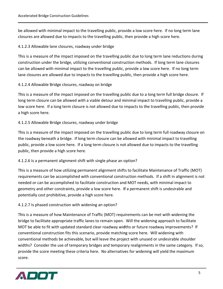be allowed with minimal impact to the travelling public, provide a low score here. If no long term lane closures are allowed due to impacts to the travelling public, then provide a high score here.

## 4.1.2.3 Allowable lane closures, roadway under bridge

This is a measure of the impact imposed on the travelling public due to long term lane reductions during construction under the bridge, utilizing conventional construction methods. If long term lane closures can be allowed with minimal impact to the travelling public, provide a low score here. If no long term lane closures are allowed due to impacts to the travelling public, then provide a high score here.

## 4.1.2.4 Allowable Bridge closures, roadway on bridge

This is a measure of the impact imposed on the travelling public due to a long term full bridge closure. If long term closure can be allowed with a viable detour and minimal impact to travelling public, provide a low score here. If a long term closure is not allowed due to impacts to the travelling public, then provide a high score h here.

## 4.1.2.5 Allowable Bridge closures, roadway under bridge

This is a measure of the impact imposed on the travelling public due to long term full roadway closure on the roadway beneath a bridge. If long term closure can be allowed with minimal impact to travelling public, provide a low score here. If a long term closure is not allowed due to impacts to the travelling public, then provide a high score here.

## 4.1.2.6 Is a permanent alignment shift with single phase an option?

This is a measure of how utilizing permanent alignment shifts to facilitate Maintenance of Traffic (MOT) requirements can be accomplished with conventional construction methods. If a shift in alignment is not needed or can be accomplished to facilitate construction and MOT needs, with minimal impact to geometry and other constraints, provide a low score here. If a permanent shift is undesirable and potentially cost prohibitive, provide a high score here.

## 4.1.2.7 Is phased construction with widening an option?

This is a measure of how Maintenance of Traffic (MOT) requirements can be met with widening the bridge to facilitate appropriate traffic lanes to remain open. Will the widening approach to facilitate MOT be able to fit with updated standard clear roadway widths or future roadway improvements? If conventional construction fits this scenario, provide matching score here. Will widening with conventional methods be achievable, but will leave the project with unused or undesirable shoulder widths? Consider the use of temporary bridges and temporary realignments in the same category. If so, provide the score meeting these criteria here. No alternatives for widening will yield the maximum sc core.

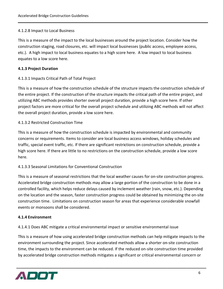#### 4.1.2.8 Impact to Local Business

This is a measure of the impact to the local businesses around the project location. Consider how the construction staging, road closures, etc. will impact local businesses (public access, employee access, etc.). A high impact to local business equates to a high score here. A low impact to local business equates to a low score here.

#### **4.1.3 Project Duration**

#### 4.1.3.1 Impacts Critical Path of Total Project

This is a measure of how the construction schedule of the structure impacts the construction schedule of the entire project. If the construction of the structure impacts the critical path of the entire project, and utilizing ABC methods provides shorter overall project duration, provide a high score here. If other project factors are more critical for the overall project schedule and utilizing ABC methods will not affect the overall project duration, provide a low score here.

#### 4.1.3.2 Restricted Construction Time

This is a measure of how the construction schedule is impacted by environmental and community concerns or requirements. Items to consider are local business access windows, holiday schedules and traffic, special event traffic, etc. If there are significant restrictions on construction schedule, provide a high score here. If there are little to no restrictions on the construction schedule, provide a low score here.

#### 4.1.3.3 Seasonal Limitations for Conventional Construction

This is a measure of seasonal restrictions that the local weather causes for on-site construction progress. Accelerated bridge construction methods may allow a large portion of the construction to be done in a controlled facility, which helps reduce delays caused by inclement weather (rain, snow, etc.). Depending on the location and the season, faster construction progress could be obtained by minimizing the on-site construction time. Limitations on construction season for areas that experience considerable snowfall events or monsoons shall be considered.

#### 4.1.4 Environment

4.1.4.1 Does ABC mitigate a critical environmental impact or sensitive environmental issue

This is a measure of how using accelerated bridge construction methods can help mitigate impacts to the environment surrounding the project. Since accelerated methods allow a shorter on-site construction time, the impacts to the environment can be reduced. If the reduced on-site construction time provided by accelerated bridge construction methods mitigates a significant or critical environmental concern or

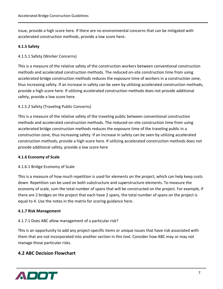issue, provide a high score here. If there are no environmental concerns that can be mitigated with accelerated construction methods, provide a low score here.

#### 4.1.5 Safety

#### 4.1.5.1 Safety (Worker Concerns)

This is a measure of the relative safety of the construction workers between conventional construction methods and accelerated construction methods. The reduced on-site construction time from using accelerated bridge construction methods reduces the exposure time of workers in a construction zone, thus increasing safety. If an increase in safety can be seen by utilizing accelerated construction methods, provide a high score here. If utilizing accelerated construction methods does not provide additional safety, provide a low score here.

#### 4.1.5.2 Safety (Traveling Public Concerns)

This is a measure of the relative safety of the traveling public between conventional construction methods and accelerated construction methods. The reduced on-site construction time from using accelerated bridge construction methods reduces the exposure time of the traveling public in a construction zone, thus increasing safety. If an increase in safety can be seen by utilizing accelerated construction methods, provide a high score here. If utilizing accelerated construction methods does not provide additional safety, provide a low score here

#### 4.1.6 Economy of Scale

#### 4.1.6.1 Bridge Economy of Scale

This is a measure of how much repetition is used for elements on the project, which can help keep costs down. Repetition can be used on both substructure and superstructure elements. To measure the economy of scale, sum the total number of spans that will be constructed on the project. For example, if there are 2 bridges on the project that each have 2 spans, the total number of spans on the project is equal to 4. Use the notes in the matrix for scoring guidance here.

#### 4.1.7 Risk Management

#### 4.1.7.1 Does ABC allow management of a particular risk?

This is an opportunity to add any project-specific items or unique issues that have risk associated with them that are not incorporated into another section in this text. Consider how ABC may or may not manage those particular risks.

#### **4.2 ABC Decision Flowchart**

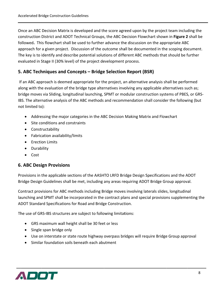Once an ABC Decision Matrix is developed and the score agreed upon by the project team including the construction District and ADOT Technical Groups, the ABC Decision Flowchart shown in Figure 2 shall be followed. This flowchart shall be used to further advance the discussion on the appropriate ABC approach for a given project. Discussion of the outcome shall be documented in the scoping document. The key is to identify and describe potential solutions of different ABC methods that should be further evaluated in Stage II (30% level) of the project development process.

## 5. ABC Techniques and Concepts – Bridge Selection Report (BSR)

If an ABC approach is deemed appropriate for the project, an alternative analysis shall be performed along with the evaluation of the bridge type alternatives involving any applicable alternatives such as; bridge moves via Sliding, longitudinal launching, SPMT or modular construction systems of PBES, or GRS-IBS. The alternative analysis of the ABC methods and recommendation shall consider the following (but not limited to):

- Addressing the major categories in the ABC Decision Making Matrix and Flowchart
- Site conditions and constraints
- Constructability
- Fabrication availability/limits
- Erection Limits
- Durability
- $\bullet$  Cost

## **6. ABC Design Provisions**

Provisions in the applicable sections of the AASHTO LRFD Bridge Design Specifications and the ADOT Bridge Design Guidelines shall be met, including any areas requiring ADOT Bridge Group approval.

Contract provisions for ABC methods including Bridge moves involving laterals slides, longitudinal launching and SPMT shall be incorporated in the contract plans and special provisions supplementing the ADOT Standard Specifications for Road and Bridge Construction.

The use of GRS-IBS structures are subject to following limitations:

- GRS maximum wall height shall be 30 feet or less
- Single span bridge only
- Use on interstate or state route highway overpass bridges will require Bridge Group approval
- Similar foundation soils beneath each abutment